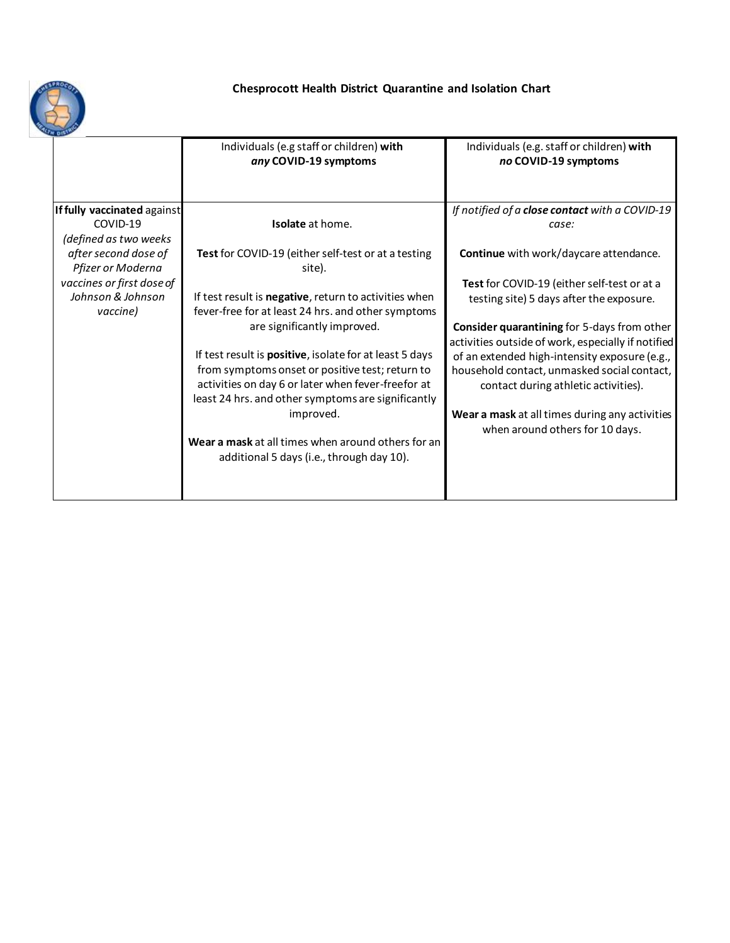

| She and the                 |                                                                   |                                                                   |
|-----------------------------|-------------------------------------------------------------------|-------------------------------------------------------------------|
|                             | Individuals (e.g staff or children) with<br>any COVID-19 symptoms | Individuals (e.g. staff or children) with<br>no COVID-19 symptoms |
|                             |                                                                   |                                                                   |
| If fully vaccinated against |                                                                   | If notified of a close contact with a COVID-19                    |
| COVID-19                    | Isolate at home.                                                  | case:                                                             |
| (defined as two weeks       |                                                                   |                                                                   |
| after second dose of        | Test for COVID-19 (either self-test or at a testing               | Continue with work/daycare attendance.                            |
| Pfizer or Moderna           | site).                                                            |                                                                   |
| vaccines or first dose of   |                                                                   | Test for COVID-19 (either self-test or at a                       |
| Johnson & Johnson           | If test result is negative, return to activities when             | testing site) 5 days after the exposure.                          |
| vaccine)                    | fever-free for at least 24 hrs. and other symptoms                |                                                                   |
|                             | are significantly improved.                                       | Consider quarantining for 5-days from other                       |
|                             |                                                                   | activities outside of work, especially if notified                |
|                             | If test result is <b>positive</b> , isolate for at least 5 days   | of an extended high-intensity exposure (e.g.,                     |
|                             | from symptoms onset or positive test; return to                   | household contact, unmasked social contact,                       |
|                             | activities on day 6 or later when fever-freefor at                | contact during athletic activities).                              |
|                             | least 24 hrs. and other symptoms are significantly                |                                                                   |
|                             | improved.                                                         | Wear a mask at all times during any activities                    |
|                             |                                                                   | when around others for 10 days.                                   |
|                             | Wear a mask at all times when around others for an                |                                                                   |
|                             | additional 5 days (i.e., through day 10).                         |                                                                   |
|                             |                                                                   |                                                                   |
|                             |                                                                   |                                                                   |
|                             |                                                                   |                                                                   |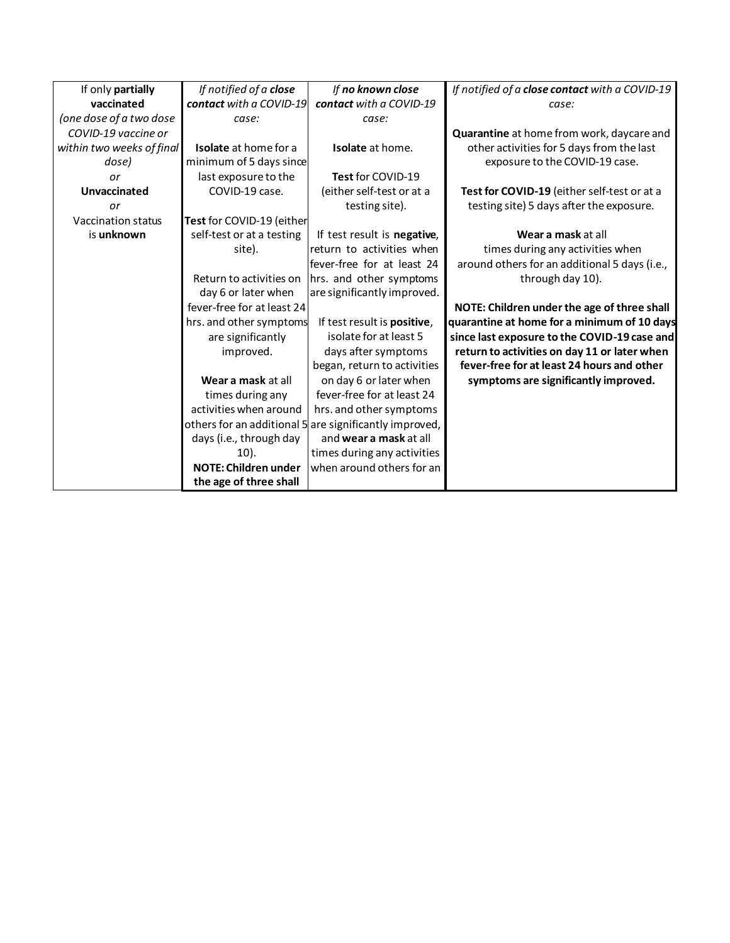| If only partially         | If notified of a close       | If no known close                                      | If notified of a close contact with a COVID-19 |
|---------------------------|------------------------------|--------------------------------------------------------|------------------------------------------------|
| vaccinated                | contact with a COVID-19      | contact with a COVID-19                                | case:                                          |
| (one dose of a two dose   | case:                        | case:                                                  |                                                |
| COVID-19 vaccine or       |                              |                                                        | Quarantine at home from work, daycare and      |
| within two weeks of final | <b>Isolate</b> at home for a | <b>Isolate</b> at home.                                | other activities for 5 days from the last      |
| dose)                     | minimum of 5 days since      |                                                        | exposure to the COVID-19 case.                 |
| or                        | last exposure to the         | Test for COVID-19                                      |                                                |
| Unvaccinated              | COVID-19 case.               | (either self-test or at a                              | Test for COVID-19 (either self-test or at a    |
| or                        |                              | testing site).                                         | testing site) 5 days after the exposure.       |
| Vaccination status        | Test for COVID-19 (either    |                                                        |                                                |
| is unknown                | self-test or at a testing    | If test result is negative,                            | Wear a mask at all                             |
|                           | site).                       | return to activities when                              | times during any activities when               |
|                           |                              | fever-free for at least 24                             | around others for an additional 5 days (i.e.,  |
|                           | Return to activities on      | hrs. and other symptoms                                | through day 10).                               |
|                           | day 6 or later when          | are significantly improved.                            |                                                |
|                           | fever-free for at least 24   |                                                        | NOTE: Children under the age of three shall    |
|                           | hrs. and other symptoms      | If test result is positive,                            | quarantine at home for a minimum of 10 days    |
|                           | are significantly            | isolate for at least 5                                 | since last exposure to the COVID-19 case and   |
|                           | improved.                    | days after symptoms                                    | return to activities on day 11 or later when   |
|                           |                              | began, return to activities                            | fever-free for at least 24 hours and other     |
|                           | Wear a mask at all           | on day 6 or later when                                 | symptoms are significantly improved.           |
|                           | times during any             | fever-free for at least 24                             |                                                |
|                           | activities when around       | hrs. and other symptoms                                |                                                |
|                           |                              | others for an additional 5 are significantly improved, |                                                |
|                           | days (i.e., through day      | and wear a mask at all                                 |                                                |
|                           | $10$ ).                      | times during any activities                            |                                                |
|                           | <b>NOTE: Children under</b>  | when around others for an                              |                                                |
|                           | the age of three shall       |                                                        |                                                |